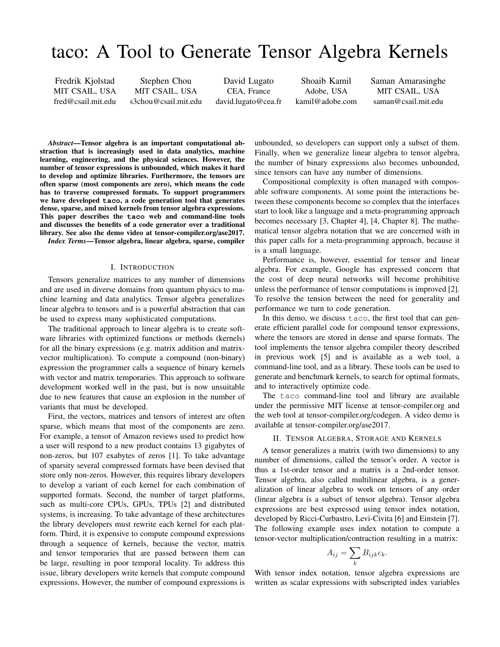# taco: A Tool to Generate Tensor Algebra Kernels

Fredrik Kjolstad MIT CSAIL, USA fred@csail.mit.edu

Stephen Chou MIT CSAIL, USA s3chou@csail.mit.edu

David Lugato CEA, France david.lugato@cea.fr

Shoaib Kamil Adobe, USA kamil@adobe.com Saman Amarasinghe MIT CSAIL, USA saman@csail.mit.edu

*Abstract*—Tensor algebra is an important computational abstraction that is increasingly used in data analytics, machine learning, engineering, and the physical sciences. However, the number of tensor expressions is unbounded, which makes it hard to develop and optimize libraries. Furthermore, the tensors are often sparse (most components are zero), which means the code has to traverse compressed formats. To support programmers we have developed **taco**, a code generation tool that generates dense, sparse, and mixed kernels from tensor algebra expressions. This paper describes the **taco** web and command-line tools and discusses the benefits of a code generator over a traditional library. See also the demo video at tensor-compiler.org/ase2017. *Index Terms*—Tensor algebra, linear algebra, sparse, compiler

#### I. INTRODUCTION

Tensors generalize matrices to any number of dimensions and are used in diverse domains from quantum physics to machine learning and data analytics. Tensor algebra generalizes linear algebra to tensors and is a powerful abstraction that can be used to express many sophisticated computations.

The traditional approach to linear algebra is to create software libraries with optimized functions or methods (kernels) for all the binary expressions (e.g. matrix addition and matrixvector multiplication). To compute a compound (non-binary) expression the programmer calls a sequence of binary kernels with vector and matrix temporaries. This approach to software development worked well in the past, but is now unsuitable due to new features that cause an explosion in the number of variants that must be developed.

First, the vectors, matrices and tensors of interest are often sparse, which means that most of the components are zero. For example, a tensor of Amazon reviews used to predict how a user will respond to a new product contains 13 gigabytes of non-zeros, but 107 exabytes of zeros [1]. To take advantage of sparsity several compressed formats have been devised that store only non-zeros. However, this requires library developers to develop a variant of each kernel for each combination of supported formats. Second, the number of target platforms, such as multi-core CPUs, GPUs, TPUs [2] and distributed systems, is increasing. To take advantage of these architectures the library developers must rewrite each kernel for each platform. Third, it is expensive to compute compound expressions through a sequence of kernels, because the vector, matrix and tensor temporaries that are passed between them can be large, resulting in poor temporal locality. To address this issue, library developers write kernels that compute compound expressions. However, the number of compound expressions is

unbounded, so developers can support only a subset of them. Finally, when we generalize linear algebra to tensor algebra, the number of binary expressions also becomes unbounded, since tensors can have any number of dimensions.

Compositional complexity is often managed with composable software components. At some point the interactions between these components become so complex that the interfaces start to look like a language and a meta-programming approach becomes necessary [3, Chapter 4], [4, Chapter 8]. The mathematical tensor algebra notation that we are concerned with in this paper calls for a meta-programming approach, because it is a small language.

Performance is, however, essential for tensor and linear algebra. For example, Google has expressed concern that the cost of deep neural networks will become prohibitive unless the performance of tensor computations is improved [2]. To resolve the tension between the need for generality and performance we turn to code generation.

In this demo, we discuss taco, the first tool that can generate efficient parallel code for compound tensor expressions, where the tensors are stored in dense and sparse formats. The tool implements the tensor algebra compiler theory described in previous work [5] and is available as a web tool, a command-line tool, and as a library. These tools can be used to generate and benchmark kernels, to search for optimal formats, and to interactively optimize code.

The taco command-line tool and library are available under the permissive MIT license at tensor-compiler.org and the web tool at tensor-compiler.org/codegen. A video demo is available at tensor-compiler.org/ase2017.

#### II. TENSOR ALGEBRA, STORAGE AND KERNELS

A tensor generalizes a matrix (with two dimensions) to any number of dimensions, called the tensor's order. A vector is thus a 1st-order tensor and a matrix is a 2nd-order tensor. Tensor algebra, also called multilinear algebra, is a generalization of linear algebra to work on tensors of any order (linear algebra is a subset of tensor algebra). Tensor algebra expressions are best expressed using tensor index notation, developed by Ricci-Curbastro, Levi-Civita [6] and Einstein [7]. The following example uses index notation to compute a tensor-vector multiplication/contraction resulting in a matrix:

$$
A_{ij} = \sum_{k} B_{ijk} c_k.
$$

With tensor index notation, tensor algebra expressions are written as scalar expressions with subscripted index variables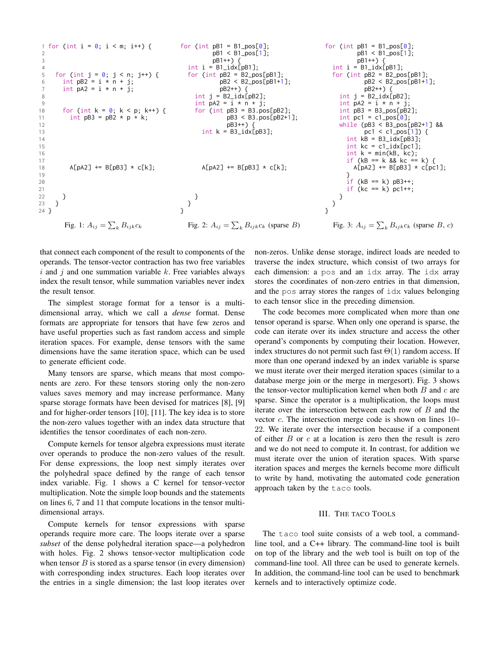```
1 for (int i = 0; i < m; i++) {
 2
 3
 4
5 for (int j = 0; j < n; j++) {
6 int pB2 = i * n + j;
7 int pA2 = i * n + j;
 8
 9 
10 for (int k = 0; k < p; k^{++}) {
11 int pB3 = pB2 * p + k;
12 
13
14
15
16
17
18 A[pA2] += B[pB3] * c[k];19
20
21
22 }
23 }
24 }
        Fig. 1: A_{ij} = \sum_k B_{ijk} c_kfor (int pB1 = B1_pos[0]; pB1 < B1_pos[1]; 
                                                      pB1++) {
                                              int i = B1_idx[pB1];for (int pB2 = B2_pos[pB1]; pB2 < B2_pos[pB1+1];
                                                         pB2++) {
                                                int j = B2_idx[pB2];<br>int pA2 = i * n + j;for (int pB3 = B3.pos[pB2];pB3 < B3.pos[pB2+1]; pB3++) {
                                                  int k = B3_idx[pB3];A[pA2] += B[pB3] * c[k]; }
                                             }
                                            }
                                              Fig. 2: A_{ij} = \sum_k B_{ijk} c_k (sparse B)
                                                                                        for (int pB1 = B1_p cos[0]; pB1 < B1_pos[1]; 
                                                                                                   pB1++) {
                                                                                           int i = B1_idx[pB1];for (int pB2 = B2_pos[pB1]; pB2 < B2_pos[pB1+1];
                                                                                                     pB2++) {
                                                                                             int j = B2_idx[pB2];<br>int pA2 = i * n + j;int pB3 = B3_ppos[pB2];int pc1 = c1_pos[0]; while (pB3 < B3_pos[pB2+1] && 
                                                                                                    pc1 < c1_{pos}[1]) {
                                                                                               int kB = B3_idx[pB3];int kc = c1_idx[pc1];int k = min(kB, kc); if (kB == k && kc == k) {
                                                                                                 A[pA2] += B[pB3] * c[pc1]; }
                                                                                                if (kB == k) pB3++;
                                                                                               if (kc == k) pc1++;
                                                                                             }
                                                                                           }
                                                                                        }
                                                                                           Fig. 3: A_{ij} = \sum_{k} B_{ijk} c_k (sparse B, c)
```
that connect each component of the result to components of the operands. The tensor-vector contraction has two free variables i and j and one summation variable k. Free variables always index the result tensor, while summation variables never index the result tensor.

The simplest storage format for a tensor is a multidimensional array, which we call a *dense* format. Dense formats are appropriate for tensors that have few zeros and have useful properties such as fast random access and simple iteration spaces. For example, dense tensors with the same dimensions have the same iteration space, which can be used to generate efficient code.

Many tensors are sparse, which means that most components are zero. For these tensors storing only the non-zero values saves memory and may increase performance. Many sparse storage formats have been devised for matrices [8], [9] and for higher-order tensors [10], [11]. The key idea is to store the non-zero values together with an index data structure that identifies the tensor coordinates of each non-zero.

Compute kernels for tensor algebra expressions must iterate over operands to produce the non-zero values of the result. For dense expressions, the loop nest simply iterates over the polyhedral space defined by the range of each tensor index variable. Fig. 1 shows a C kernel for tensor-vector multiplication. Note the simple loop bounds and the statements on lines 6, 7 and 11 that compute locations in the tensor multidimensional arrays.

Compute kernels for tensor expressions with sparse operands require more care. The loops iterate over a sparse *subset* of the dense polyhedral iteration space—a polyhedron with holes. Fig. 2 shows tensor-vector multiplication code when tensor  $B$  is stored as a sparse tensor (in every dimension) with corresponding index structures. Each loop iterates over the entries in a single dimension; the last loop iterates over

non-zeros. Unlike dense storage, indirect loads are needed to traverse the index structure, which consist of two arrays for each dimension: a pos and an idx array. The idx array stores the coordinates of non-zero entries in that dimension, and the pos array stores the ranges of idx values belonging to each tensor slice in the preceding dimension.

The code becomes more complicated when more than one tensor operand is sparse. When only one operand is sparse, the code can iterate over its index structure and access the other operand's components by computing their location. However, index structures do not permit such fast  $\Theta(1)$  random access. If more than one operand indexed by an index variable is sparse we must iterate over their merged iteration spaces (similar to a database merge join or the merge in mergesort). Fig. 3 shows the tensor-vector multiplication kernel when both  $B$  and  $c$  are sparse. Since the operator is a multiplication, the loops must iterate over the intersection between each row of  $B$  and the vector c. The intersection merge code is shown on lines 10– 22. We iterate over the intersection because if a component of either  $B$  or  $c$  at a location is zero then the result is zero and we do not need to compute it. In contrast, for addition we must iterate over the union of iteration spaces. With sparse iteration spaces and merges the kernels become more difficult to write by hand, motivating the automated code generation approach taken by the taco tools.

## III. THE TACO TOOLS

The taco tool suite consists of a web tool, a commandline tool, and a C++ library. The command-line tool is built on top of the library and the web tool is built on top of the command-line tool. All three can be used to generate kernels. In addition, the command-line tool can be used to benchmark kernels and to interactively optimize code.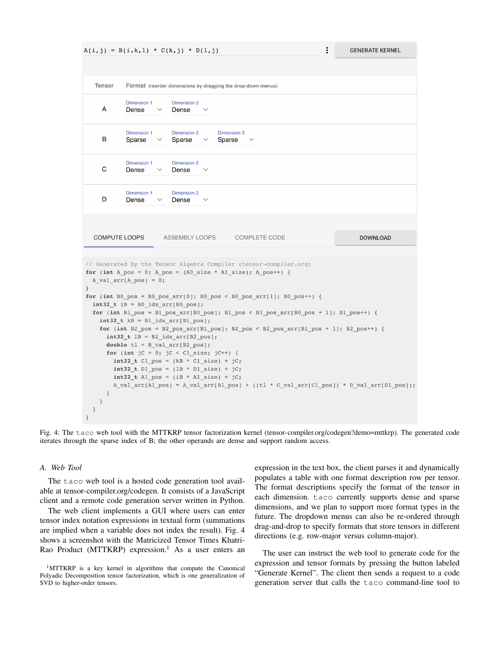```
A(i,j) = B(i,k,l) * C(k,j) * D(l,j)GENERATE KERNEL
   Tensor
              Format (reorder dimensions by dragging the drop-down menus)
              Dimension 1
                              Dimension 2
      A
              Dense
                              Dense
              Dimension 1
                              Dimension 2
                                             Dimension 3
      B
              Sparse
                              Sparse
                                             Sparse
              Dimension 1
                              Dimension 2
      \OmegaDense
                              Dense
              Dimension 1
                              Dimension 2
      D
              Dense
                              Dense
   COMPUTE LOOPS
                           ASSEMBLY LOOPS
                                                   COMPLETE CODE
                                                                                              DOWNLOAD
// Generated by the Tensor Algebra Compiler (tensor-compiler.org)
for (int A pos = 0; A pos < (A0 size * A1 size); A pos++) {
  A_val_arr[A_pos] = 0;for (int B0_pos = B0_pos_arr[0]; B0_pos < B0_pos_arr[1]; B0_pos++) {
  int32_t iB = B0 idx arr[B0 pos];
  for (int B1_pos = B1_pos_arr[B0_pos]; B1_pos < B1_pos_arr[B0_pos + 1]; B1_pos++) {
     int32_t kB = B1_idx_arr[B1_pos];{\tt for} \hspace{0.2cm} ({\tt int} \hspace{0.2cm} B2\_pos = B2\_pos\_arr[B1\_pos] \hspace{0.2cm} ; \hspace{0.2cm} B2\_pos < B2\_pos\_arr[B1\_pos + 1] \hspace{0.2cm} ; \hspace{0.2cm} B2\_pos++) \hspace{0.2cm} \{int32_t lB = B2_idx_arr[B2_pos];
       double tl = B_val_arr[B2_pos];for (int jC = 0; jC < C1 size; jC++) {
         int32_t C1_pos = (kB * C1_size) + jC;int32_t D1_pos = (1B * D1_size) + jC;
         int32_t Al_pos = (iB * A1_size) + jC;
         A_val_arr[A1_pos] = A_val_arr[A1_pos] + ((t1 * C_val_arr[C1_pos]) * D_val_arr[D1_pos]);\}\}\}\}
```
Fig. 4: The taco web tool with the MTTKRP tensor factorization kernel (tensor-compiler.org/codegen?demo=mttkrp). The generated code iterates through the sparse index of B; the other operands are dense and support random access.

### *A. Web Tool*

The taco web tool is a hosted code generation tool available at tensor-compiler.org/codegen. It consists of a JavaScript client and a remote code generation server written in Python.

The web client implements a GUI where users can enter tensor index notation expressions in textual form (summations are implied when a variable does not index the result). Fig. 4 shows a screenshot with the Matricized Tensor Times Khatri-Rao Product (MTTKRP) expression.<sup>1</sup> As a user enters an expression in the text box, the client parses it and dynamically populates a table with one format description row per tensor. The format descriptions specify the format of the tensor in each dimension. taco currently supports dense and sparse dimensions, and we plan to support more format types in the future. The dropdown menus can also be re-ordered through drag-and-drop to specify formats that store tensors in different directions (e.g. row-major versus column-major).

The user can instruct the web tool to generate code for the expression and tensor formats by pressing the button labeled "Generate Kernel". The client then sends a request to a code generation server that calls the taco command-line tool to

<sup>&</sup>lt;sup>1</sup>MTTKRP is a key kernel in algorithms that compute the Canonical Polyadic Decomposition tensor factorization, which is one generalization of SVD to higher-order tensors.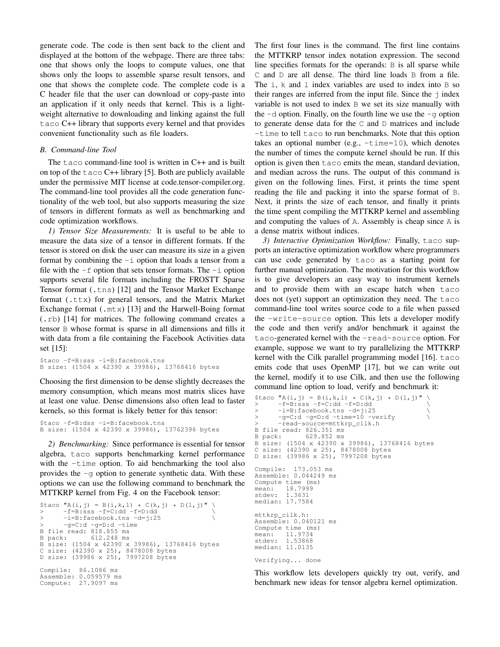generate code. The code is then sent back to the client and displayed at the bottom of the webpage. There are three tabs: one that shows only the loops to compute values, one that shows only the loops to assemble sparse result tensors, and one that shows the complete code. The complete code is a C header file that the user can download or copy-paste into an application if it only needs that kernel. This is a lightweight alternative to downloading and linking against the full taco C++ library that supports every kernel and that provides convenient functionality such as file loaders.

## *B. Command-line Tool*

The taco command-line tool is written in C++ and is built on top of the  $\text{tacc}$  C++ library [5]. Both are publicly available under the permissive MIT license at code.tensor-compiler.org. The command-line tool provides all the code generation functionality of the web tool, but also supports measuring the size of tensors in different formats as well as benchmarking and code optimization workflows.

*1) Tensor Size Measurements:* It is useful to be able to measure the data size of a tensor in different formats. If the tensor is stored on disk the user can measure its size in a given format by combining the  $-i$  option that loads a tensor from a file with the  $-f$  option that sets tensor formats. The  $-i$  option supports several file formats including the FROSTT Sparse Tensor format (.tns) [12] and the Tensor Market Exchange format (.ttx) for general tensors, and the Matrix Market Exchange format (.mtx) [13] and the Harwell-Boing format (.rb) [14] for matrices. The following command creates a tensor B whose format is sparse in all dimensions and fills it with data from a file containing the Facebook Activities data set [15]:

```
$taco -f=B:sss -i=B:facebook.tns
B size: (1504 x 42390 x 39986), 13768416 bytes
```
Choosing the first dimension to be dense slightly decreases the memory consumption, which means most matrix slices have at least one value. Dense dimensions also often lead to faster kernels, so this format is likely better for this tensor:

```
$taco -f=B:dss -i=B:facebook.tns
B size: (1504 x 42390 x 39986), 13762396 bytes
```
*2) Benchmarking:* Since performance is essential for tensor algebra, taco supports benchmarking kernel performance with the  $-t$  ime option. To aid benchmarking the tool also provides the  $-q$  option to generate synthetic data. With these options we can use the following command to benchmark the MTTKRP kernel from Fig. 4 on the Facebook tensor:

```
$taco "A(i,j) = B(i,k,l) * C(k,j) * D(l,j)" \
> -f=B:sss -f=C:dd -f=D:dd \
> -i=B:facebook.tns -d=j:25
      -q=C:d -q=D:d -timeB file read: 818.855 ms
B pack: 612.248 ms
B size: (1504 x 42390 x 39986), 13768416 bytes
C size: (42390 x 25), 8478008 bytes
D size: (39986 x 25), 7997208 bytes
Compile: 86.1086 ms
Assemble: 0.059579 ms
Compute: 27.9097 ms
```
The first four lines is the command. The first line contains the MTTKRP tensor index notation expression. The second line specifies formats for the operands: B is all sparse while C and D are all dense. The third line loads B from a file. The  $i$ , k and  $l$  index variables are used to index into  $B$  so their ranges are inferred from the input file. Since the  $\frac{1}{\cdot}$  index variable is not used to index B we set its size manually with the  $-d$  option. Finally, on the fourth line we use the  $-q$  option to generate dense data for the C and D matrices and include -time to tell taco to run benchmarks. Note that this option takes an optional number (e.g.,  $-\text{time}=10$ ), which denotes the number of times the compute kernel should be run. If this option is given then taco emits the mean, standard deviation, and median across the runs. The output of this command is given on the following lines. First, it prints the time spent reading the file and packing it into the sparse format of B. Next, it prints the size of each tensor, and finally it prints the time spent compiling the MTTKRP kernel and assembling and computing the values of A. Assembly is cheap since A is a dense matrix without indices.

*3) Interactive Optimization Workflow:* Finally, taco supports an interactive optimization workflow where programmers can use code generated by taco as a starting point for further manual optimization. The motivation for this workflow is to give developers an easy way to instrument kernels and to provide them with an escape hatch when taco does not (yet) support an optimization they need. The taco command-line tool writes source code to a file when passed the -write-source option. This lets a developer modify the code and then verify and/or benchmark it against the taco-generated kernel with the -read-source option. For example, suppose we want to try parallelizing the MTTKRP kernel with the Cilk parallel programming model [16]. taco emits code that uses OpenMP [17], but we can write out the kernel, modify it to use Cilk, and then use the following command line option to load, verify and benchmark it:

```
$taco "A(i,j) = B(i,k,l) * C(k,j) * D(l,j)"<br>> -f=R\cdot\text{sss} - f=C \cdot \text{dd} - f = D \cdot \text{dd}-f=B:sss -f=C:dd -f=D:dd-i=B:facebook.tns -d=j:25
      -g=C:d -g=D:d -time=10 -verify \
      > -read-source=mttkrp_cilk.h
B file read: 826.351 ms
B pack: 629.852 ms
B size: (1504 x 42390 x 39986), 13768416 bytes
C size: (42390 x 25), 8478008 bytes
D size: (39986 x 25), 7997208 bytes
Compile: 173.053 ms
Assemble: 0.044249 ms
Compute time (ms)
mean: 18.7999
stdev: 1.3631
median: 17.7584
mttkrp_cilk.h:
Assemble: 0.040121 ms
Compute time (ms)
mean: 11.9734
stdev: 1.53868
median: 11.0135
```

```
Verifying... done
```
This workflow lets developers quickly try out, verify, and benchmark new ideas for tensor algebra kernel optimization.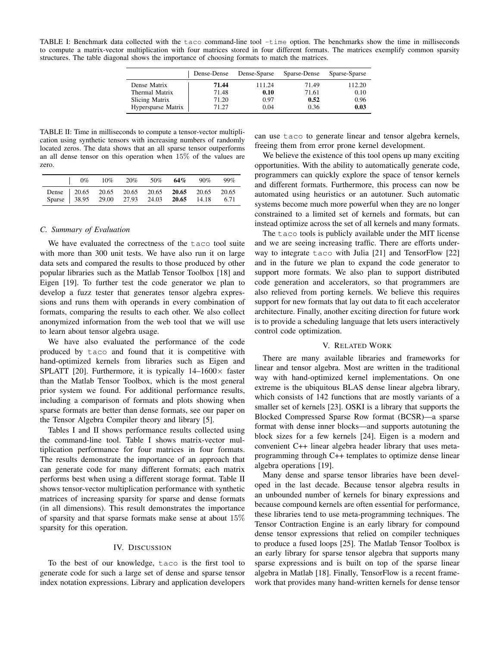TABLE I: Benchmark data collected with the taco command-line tool -time option. The benchmarks show the time in milliseconds to compute a matrix-vector multiplication with four matrices stored in four different formats. The matrices exemplify common sparsity structures. The table diagonal shows the importance of choosing formats to match the matrices.

|                    | Dense-Dense | Dense-Sparse | Sparse-Dense | Sparse-Sparse |
|--------------------|-------------|--------------|--------------|---------------|
| Dense Matrix       | 71.44       | 111.24       | 71.49        | 112.20        |
| Thermal Matrix     | 71.48       | 0.10         | 71.61        | 0.10          |
| Slicing Matrix     | 71.20       | 0.97         | 0.52         | 0.96          |
| Hypersparse Matrix | 71.27       | 0.04         | 0.36         | 0.03          |

TABLE II: Time in milliseconds to compute a tensor-vector multiplication using synthetic tensors with increasing numbers of randomly located zeros. The data shows that an all sparse tensor outperforms an all dense tensor on this operation when 15% of the values are zero.

|  |  | $\vert$ 0% 10% 20% 50% 64% 90% 99%                                                                 |  |
|--|--|----------------------------------------------------------------------------------------------------|--|
|  |  | Dense 20.65 20.65 20.65 20.65 20.65 20.65 20.65<br>Sparse 38.95 29.00 27.93 24.03 20.65 14.18 6.71 |  |

## *C. Summary of Evaluation*

We have evaluated the correctness of the taco tool suite with more than 300 unit tests. We have also run it on large data sets and compared the results to those produced by other popular libraries such as the Matlab Tensor Toolbox [18] and Eigen [19]. To further test the code generator we plan to develop a fuzz tester that generates tensor algebra expressions and runs them with operands in every combination of formats, comparing the results to each other. We also collect anonymized information from the web tool that we will use to learn about tensor algebra usage.

We have also evaluated the performance of the code produced by taco and found that it is competitive with hand-optimized kernels from libraries such as Eigen and SPLATT [20]. Furthermore, it is typically  $14-1600\times$  faster than the Matlab Tensor Toolbox, which is the most general prior system we found. For additional performance results, including a comparison of formats and plots showing when sparse formats are better than dense formats, see our paper on the Tensor Algebra Compiler theory and library [5].

Tables I and II shows performance results collected using the command-line tool. Table I shows matrix-vector multiplication performance for four matrices in four formats. The results demonstrate the importance of an approach that can generate code for many different formats; each matrix performs best when using a different storage format. Table II shows tensor-vector multiplication performance with synthetic matrices of increasing sparsity for sparse and dense formats (in all dimensions). This result demonstrates the importance of sparsity and that sparse formats make sense at about 15% sparsity for this operation.

## IV. DISCUSSION

To the best of our knowledge, taco is the first tool to generate code for such a large set of dense and sparse tensor index notation expressions. Library and application developers

can use taco to generate linear and tensor algebra kernels, freeing them from error prone kernel development.

We believe the existence of this tool opens up many exciting opportunities. With the ability to automatically generate code, programmers can quickly explore the space of tensor kernels and different formats. Furthermore, this process can now be automated using heuristics or an autotuner. Such automatic systems become much more powerful when they are no longer constrained to a limited set of kernels and formats, but can instead optimize across the set of all kernels and many formats.

The taco tools is publicly available under the MIT license and we are seeing increasing traffic. There are efforts underway to integrate taco with Julia [21] and TensorFlow [22] and in the future we plan to expand the code generator to support more formats. We also plan to support distributed code generation and accelerators, so that programmers are also relieved from porting kernels. We believe this requires support for new formats that lay out data to fit each accelerator architecture. Finally, another exciting direction for future work is to provide a scheduling language that lets users interactively control code optimization.

### V. RELATED WORK

There are many available libraries and frameworks for linear and tensor algebra. Most are written in the traditional way with hand-optimized kernel implementations. On one extreme is the ubiquitous BLAS dense linear algebra library, which consists of 142 functions that are mostly variants of a smaller set of kernels [23]. OSKI is a library that supports the Blocked Compressed Sparse Row format (BCSR)—a sparse format with dense inner blocks—and supports autotuning the block sizes for a few kernels [24]. Eigen is a modern and convenient C++ linear algebra header library that uses metaprogramming through C++ templates to optimize dense linear algebra operations [19].

Many dense and sparse tensor libraries have been developed in the last decade. Because tensor algebra results in an unbounded number of kernels for binary expressions and because compound kernels are often essential for performance, these libraries tend to use meta-programming techniques. The Tensor Contraction Engine is an early library for compound dense tensor expressions that relied on compiler techniques to produce a fused loops [25]. The Matlab Tensor Toolbox is an early library for sparse tensor algebra that supports many sparse expressions and is built on top of the sparse linear algebra in Matlab [18]. Finally, TensorFlow is a recent framework that provides many hand-written kernels for dense tensor